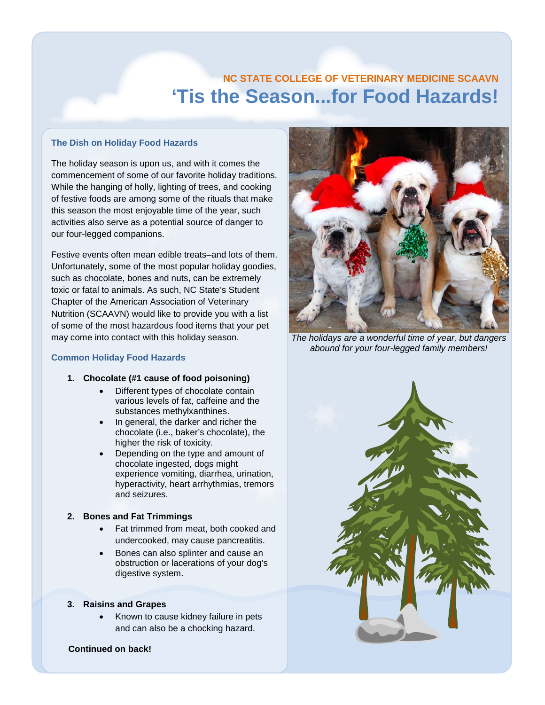# **'Tis the Season...for Food Hazards! NC STATE COLLEGE OF VETERINARY MEDICINE SCAAVN**

### **The Dish on Holiday Food Hazards**

The holiday season is upon us, and with it comes the commencement of some of our favorite holiday traditions. While the hanging of holly, lighting of trees, and cooking of festive foods are among some of the rituals that make this season the most enjoyable time of the year, such activities also serve as a potential source of danger to our four-legged companions.

Festive events often mean edible treats–and lots of them. Unfortunately, some of the most popular holiday goodies, such as chocolate, bones and nuts, can be extremely toxic or fatal to animals. As such, NC State's Student Chapter of the American Association of Veterinary Nutrition (SCAAVN) would like to provide you with a list of some of the most hazardous food items that your pet may come into contact with this holiday season.

#### **Common Holiday Food Hazards**

### **1. Chocolate (#1 cause of food poisoning)**

- Different types of chocolate contain various levels of fat, caffeine and the substances methylxanthines.
- In general, the darker and richer the chocolate (i.e., baker's chocolate), the higher the risk of toxicity.
- Depending on the type and amount of chocolate ingested, dogs might experience vomiting, diarrhea, urination, hyperactivity, heart arrhythmias, tremors and seizures.

## **2. Bones and Fat Trimmings**

- Fat trimmed from meat, both cooked and undercooked, may cause pancreatitis.
- Bones can also splinter and cause an obstruction or lacerations of your dog's digestive system.

### **3. Raisins and Grapes**

• Known to cause kidney failure in pets and can also be a chocking hazard.



*The holidays are a wonderful time of year, but dangers abound for your four-legged family members!*



### **Continued on back!**